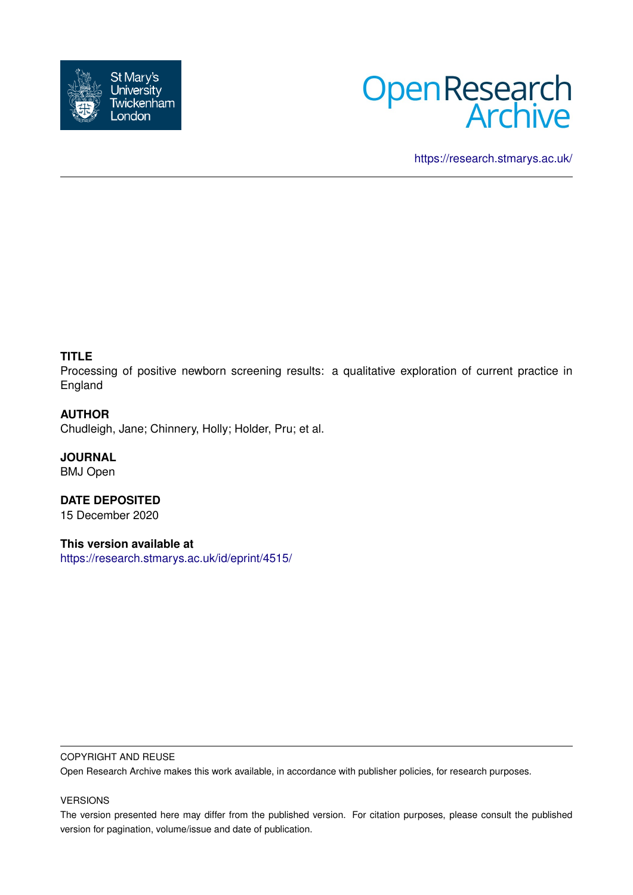



<https://research.stmarys.ac.uk/>

# **TITLE**

Processing of positive newborn screening results: a qualitative exploration of current practice in England

# **AUTHOR**

Chudleigh, Jane; Chinnery, Holly; Holder, Pru; et al.

**JOURNAL** BMJ Open

**DATE DEPOSITED** 15 December 2020

**This version available at** <https://research.stmarys.ac.uk/id/eprint/4515/>

## COPYRIGHT AND REUSE

Open Research Archive makes this work available, in accordance with publisher policies, for research purposes.

## VERSIONS

The version presented here may differ from the published version. For citation purposes, please consult the published version for pagination, volume/issue and date of publication.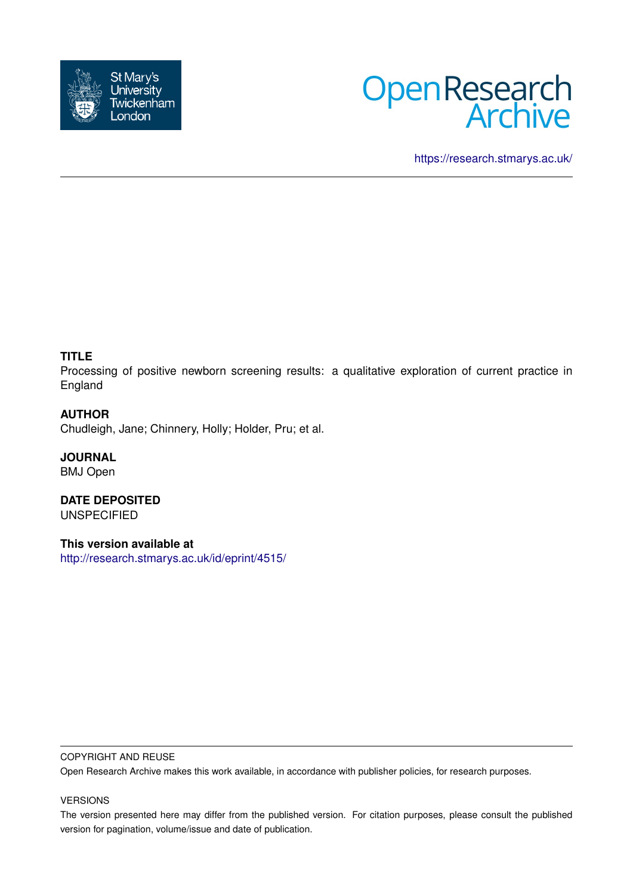



<https://research.stmarys.ac.uk/>

# **TITLE**

Processing of positive newborn screening results: a qualitative exploration of current practice in England

# **AUTHOR**

Chudleigh, Jane; Chinnery, Holly; Holder, Pru; et al.

**JOURNAL** BMJ Open

**DATE DEPOSITED** UNSPECIFIED

**This version available at** <http://research.stmarys.ac.uk/id/eprint/4515/>

## COPYRIGHT AND REUSE

Open Research Archive makes this work available, in accordance with publisher policies, for research purposes.

## VERSIONS

The version presented here may differ from the published version. For citation purposes, please consult the published version for pagination, volume/issue and date of publication.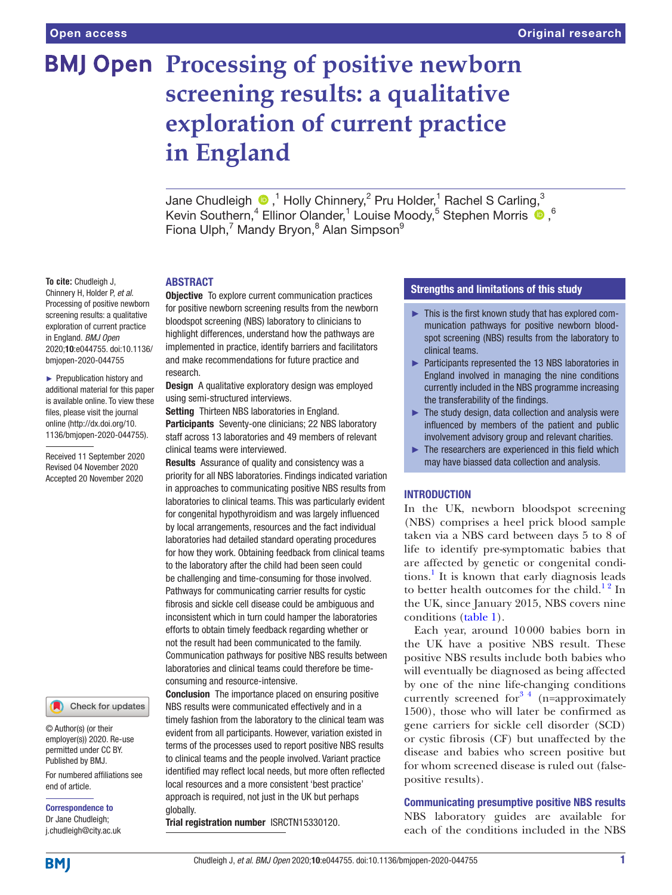# **BMJ Open Processing of positive newborn screening results: a qualitative exploration of current practice in England**

Jane Chudleigh  $\bigcirc$  ,<sup>1</sup> Holly Chinnery,<sup>2</sup> Pru Holder,<sup>1</sup> Rachel S Carling,<sup>3</sup> KevinSouthern,<sup>4</sup> Ellinor Olander,<sup>1</sup> Louise Moody,<sup>5</sup> Stephen Morris <sup>1</sup>,<sup>6</sup> Fiona Ulph,<sup>7</sup> Mandy Bryon,<sup>8</sup> Alan Simpson<sup>9</sup>

## ABSTRACT

**Objective** To explore current communication practices for positive newborn screening results from the newborn bloodspot screening (NBS) laboratory to clinicians to highlight differences, understand how the pathways are implemented in practice, identify barriers and facilitators and make recommendations for future practice and research.

**Design** A qualitative exploratory design was employed using semi-structured interviews.

Setting Thirteen NBS laboratories in England.

Participants Seventy-one clinicians; 22 NBS laboratory staff across 13 laboratories and 49 members of relevant clinical teams were interviewed.

Results Assurance of quality and consistency was a priority for all NBS laboratories. Findings indicated variation in approaches to communicating positive NBS results from laboratories to clinical teams. This was particularly evident for congenital hypothyroidism and was largely influenced by local arrangements, resources and the fact individual laboratories had detailed standard operating procedures for how they work. Obtaining feedback from clinical teams to the laboratory after the child had been seen could be challenging and time-consuming for those involved. Pathways for communicating carrier results for cystic fibrosis and sickle cell disease could be ambiguous and inconsistent which in turn could hamper the laboratories efforts to obtain timely feedback regarding whether or not the result had been communicated to the family. Communication pathways for positive NBS results between laboratories and clinical teams could therefore be timeconsuming and resource-intensive.

**Conclusion** The importance placed on ensuring positive NBS results were communicated effectively and in a timely fashion from the laboratory to the clinical team was evident from all participants. However, variation existed in terms of the processes used to report positive NBS results to clinical teams and the people involved. Variant practice identified may reflect local needs, but more often reflected local resources and a more consistent 'best practice' approach is required, not just in the UK but perhaps globally.

Trial registration number <ISRCTN15330120>.

#### Strengths and limitations of this study

- ► This is the first known study that has explored communication pathways for positive newborn bloodspot screening (NBS) results from the laboratory to clinical teams.
- ► Participants represented the 13 NBS laboratories in England involved in managing the nine conditions currently included in the NBS programme increasing the transferability of the findings.
- ► The study design, data collection and analysis were influenced by members of the patient and public involvement advisory group and relevant charities.
- $\blacktriangleright$  The researchers are experienced in this field which may have biassed data collection and analysis.

#### **INTRODUCTION**

In the UK, newborn bloodspot screening (NBS) comprises a heel prick blood sample taken via a NBS card between days 5 to 8 of life to identify pre-symptomatic babies that are affected by genetic or congenital conditions.<sup>1</sup> It is known that early diagnosis leads to better health outcomes for the child.<sup>12</sup> In the UK, since January 2015, NBS covers nine conditions [\(table](#page-3-0) 1).

Each year, around 10000 babies born in the UK have a positive NBS result. These positive NBS results include both babies who will eventually be diagnosed as being affected by one of the nine life-changing conditions currently screened for  $3<sup>4</sup>$  (n=approximately 1500), those who will later be confirmed as gene carriers for sickle cell disorder (SCD) or cystic fibrosis (CF) but unaffected by the disease and babies who screen positive but for whom screened disease is ruled out (falsepositive results).

Communicating presumptive positive NBS results NBS laboratory guides are available for each of the conditions included in the NBS

**To cite:** Chudleigh J, Chinnery H, Holder P, *et al*. Processing of positive newborn screening results: a qualitative exploration of current practice in England. *BMJ Open* 2020;10:e044755. doi:10.1136/ bmjopen-2020-044755

► Prepublication history and additional material for this paper is available online. To view these files, please visit the journal online (http://dx.doi.org/10. 1136/bmjopen-2020-044755).

Received 11 September 2020 Revised 04 November 2020 Accepted 20 November 2020

Check for updates

© Author(s) (or their employer(s)) 2020. Re-use permitted under CC BY. Published by BMJ.

For numbered affiliations see end of article.

Correspondence to Dr Jane Chudleigh; j.chudleigh@city.ac.uk

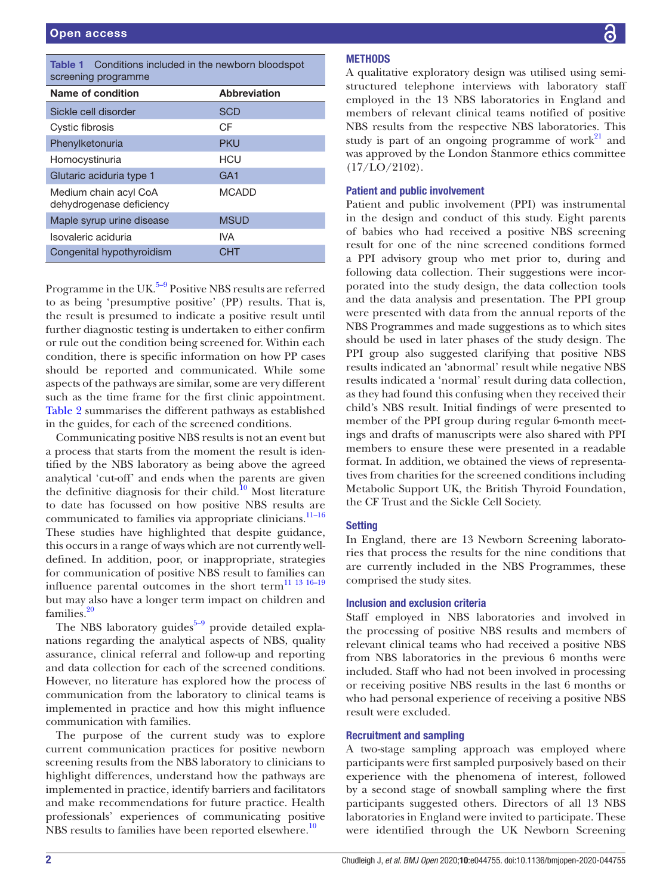<span id="page-3-0"></span>

| Conditions included in the newborn bloodspot<br>Table 1<br>screening programme |                     |  |  |
|--------------------------------------------------------------------------------|---------------------|--|--|
| Name of condition                                                              | <b>Abbreviation</b> |  |  |
| Sickle cell disorder                                                           | <b>SCD</b>          |  |  |
| Cystic fibrosis                                                                | СF                  |  |  |
| Phenylketonuria                                                                | <b>PKU</b>          |  |  |
| Homocystinuria                                                                 | HCU                 |  |  |
| Glutaric aciduria type 1                                                       | GA <sub>1</sub>     |  |  |
| Medium chain acyl CoA<br>dehydrogenase deficiency                              | <b>MCADD</b>        |  |  |
| Maple syrup urine disease                                                      | <b>MSUD</b>         |  |  |
| Isovaleric aciduria                                                            | IVA                 |  |  |
| Congenital hypothyroidism                                                      | <b>CHT</b>          |  |  |

Programme in the UK. $5-9$  Positive NBS results are referred to as being 'presumptive positive' (PP) results. That is, the result is presumed to indicate a positive result until further diagnostic testing is undertaken to either confirm or rule out the condition being screened for. Within each condition, there is specific information on how PP cases should be reported and communicated. While some aspects of the pathways are similar, some are very different such as the time frame for the first clinic appointment. [Table](#page-4-0) 2 summarises the different pathways as established in the guides, for each of the screened conditions.

Communicating positive NBS results is not an event but a process that starts from the moment the result is identified by the NBS laboratory as being above the agreed analytical 'cut-off' and ends when the parents are given the definitive diagnosis for their child.<sup>10</sup> Most literature to date has focussed on how positive NBS results are communicated to families via appropriate clinicians.<sup>11-16</sup> These studies have highlighted that despite guidance, this occurs in a range of ways which are not currently welldefined. In addition, poor, or inappropriate, strategies for communication of positive NBS result to families can influence parental outcomes in the short term $^{11}$   $^{13}$   $^{16-19}$ but may also have a longer term impact on children and families.<sup>[20](#page-12-5)</sup>

The NBS laboratory guides $5-9$  provide detailed explanations regarding the analytical aspects of NBS, quality assurance, clinical referral and follow-up and reporting and data collection for each of the screened conditions. However, no literature has explored how the process of communication from the laboratory to clinical teams is implemented in practice and how this might influence communication with families.

The purpose of the current study was to explore current communication practices for positive newborn screening results from the NBS laboratory to clinicians to highlight differences, understand how the pathways are implemented in practice, identify barriers and facilitators and make recommendations for future practice. Health professionals' experiences of communicating positive NBS results to families have been reported elsewhere.<sup>[10](#page-12-3)</sup>

#### **METHODS**

A qualitative exploratory design was utilised using semistructured telephone interviews with laboratory staff employed in the 13 NBS laboratories in England and members of relevant clinical teams notified of positive NBS results from the respective NBS laboratories. This study is part of an ongoing programme of work $^{21}$  and was approved by the London Stanmore ethics committee (17/LO/2102).

#### Patient and public involvement

Patient and public involvement (PPI) was instrumental in the design and conduct of this study. Eight parents of babies who had received a positive NBS screening result for one of the nine screened conditions formed a PPI advisory group who met prior to, during and following data collection. Their suggestions were incorporated into the study design, the data collection tools and the data analysis and presentation. The PPI group were presented with data from the annual reports of the NBS Programmes and made suggestions as to which sites should be used in later phases of the study design. The PPI group also suggested clarifying that positive NBS results indicated an 'abnormal' result while negative NBS results indicated a 'normal' result during data collection, as they had found this confusing when they received their child's NBS result. Initial findings of were presented to member of the PPI group during regular 6-month meetings and drafts of manuscripts were also shared with PPI members to ensure these were presented in a readable format. In addition, we obtained the views of representatives from charities for the screened conditions including Metabolic Support UK, the British Thyroid Foundation, the CF Trust and the Sickle Cell Society.

#### Setting

In England, there are 13 Newborn Screening laboratories that process the results for the nine conditions that are currently included in the NBS Programmes, these comprised the study sites.

#### Inclusion and exclusion criteria

Staff employed in NBS laboratories and involved in the processing of positive NBS results and members of relevant clinical teams who had received a positive NBS from NBS laboratories in the previous 6 months were included. Staff who had not been involved in processing or receiving positive NBS results in the last 6 months or who had personal experience of receiving a positive NBS result were excluded.

#### Recruitment and sampling

A two-stage sampling approach was employed where participants were first sampled purposively based on their experience with the phenomena of interest, followed by a second stage of snowball sampling where the first participants suggested others. Directors of all 13 NBS laboratories in England were invited to participate. These were identified through the UK Newborn Screening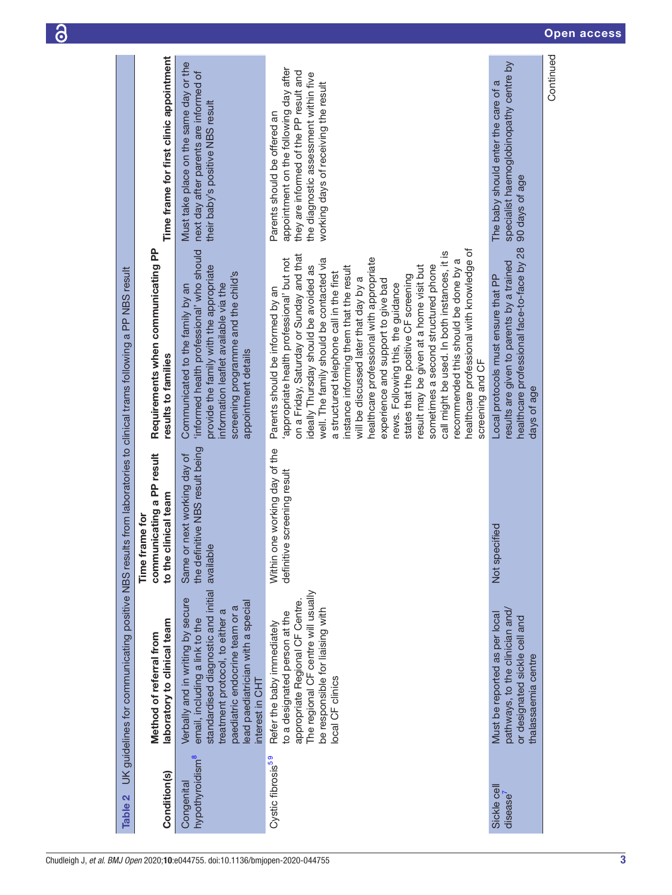<span id="page-4-0"></span>

| Table 2                                   |                                                                                                                                                                                                                                       |                                                                             | UK guidelines for communicating positive NBS results from laboratories to clinical trams following a PP NBS result                                                                                                                                                                                                                                                                                                                                                                                                                                                                                                                                                                                                                                         |                                                                                                                                                                                                   |
|-------------------------------------------|---------------------------------------------------------------------------------------------------------------------------------------------------------------------------------------------------------------------------------------|-----------------------------------------------------------------------------|------------------------------------------------------------------------------------------------------------------------------------------------------------------------------------------------------------------------------------------------------------------------------------------------------------------------------------------------------------------------------------------------------------------------------------------------------------------------------------------------------------------------------------------------------------------------------------------------------------------------------------------------------------------------------------------------------------------------------------------------------------|---------------------------------------------------------------------------------------------------------------------------------------------------------------------------------------------------|
| <b>Condition(s)</b>                       | laboratory to clinical team<br>Method of referral from                                                                                                                                                                                | communicating a PP result<br>to the clinical team<br>Time frame for         | Requirements when communicating PP<br>results to families                                                                                                                                                                                                                                                                                                                                                                                                                                                                                                                                                                                                                                                                                                  | Time frame for first clinic appointment                                                                                                                                                           |
| hypothyroidism <sup>8</sup><br>Congenital | standardised diagnostic and initial<br>Verbally and in writing by secure<br>lead paediatrician with a special<br>paediatric endocrine team or a<br>treatment protocol, to either<br>email, including a link to the<br>interest in CHT | the definitive NBS result being<br>Same or next working day of<br>available | 'informed health professional' who should<br>provide the family with the appropriate<br>screening programme and the child's<br>information leaflet available via the<br>Communicated to the family by an<br>appointment details                                                                                                                                                                                                                                                                                                                                                                                                                                                                                                                            | Must take place on the same day or the<br>next day after parents are informed of<br>their baby's positive NBS result                                                                              |
| Cystic fibrosis <sup>59</sup>             | The regional CF centre will usually<br>appropriate Regional CF Centre.<br>be responsible for liaising with<br>to a designated person at the<br>Refer the baby immediately<br>local CF clinics                                         | Within one working day of the<br>definitive screening result                | healthcare professional with knowledge of<br>call might be used. In both instances, it is<br>on a Friday, Saturday or Sunday and that<br>'appropriate health professional' but not<br>healthcare professional with appropriate<br>well. The family should be contacted via<br>recommended this should be done by a<br>result may be given at a home visit but<br>instance informing them that the result<br>sometimes a second structured phone<br>ideally Thursday should be avoided as<br>a structured telephone call in the first<br>states that the positive CF screening<br>will be discussed later that day by a<br>experience and support to give bad<br>news. Following this, the guidance<br>Parents should be informed by an<br>screening and CF | appointment on the following day after<br>they are informed of the PP result and<br>the diagnostic assessment within five<br>working days of receiving the result<br>Parents should be offered an |
| Sickle cell<br>disease                    | pathways, to the clinician and/<br>Must be reported as per local<br>or designated sickle cell and<br>thalassaemia centre                                                                                                              | Not specified                                                               | healthcare professional face-to-face by 28<br>results are given to parents by a trained<br>Local protocols must ensure that PP<br>days of age                                                                                                                                                                                                                                                                                                                                                                                                                                                                                                                                                                                                              | specialist haemoglobinopathy centre by<br>The baby should enter the care of a<br>90 days of age                                                                                                   |
|                                           |                                                                                                                                                                                                                                       |                                                                             |                                                                                                                                                                                                                                                                                                                                                                                                                                                                                                                                                                                                                                                                                                                                                            | Continued                                                                                                                                                                                         |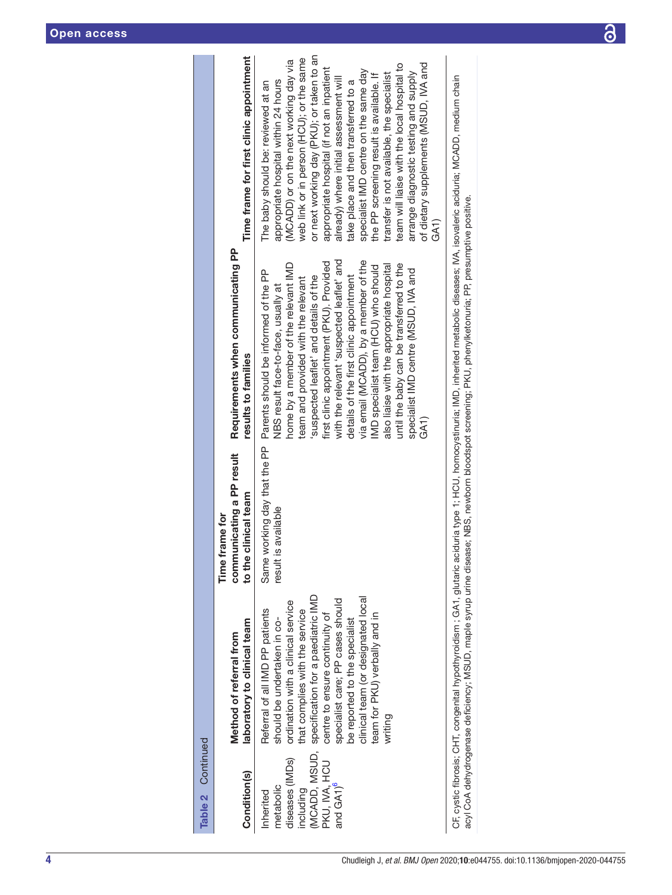| Condition(s)                                                                                   | laboratory to clinical team<br>Method of referral from                                                                                                                                                                                                                                                                                                                            | communicating a PP result<br>to the clinical team<br>Time frame for | Requirements when communicating PP<br>results to families                                                                                                                                                                                                                                                                                                                                                                                                                                                                                                                                      | Time frame for first clinic appointment                                                                                                                                                                                                                                                                                                                                                                                                                                                                                                                                                                                 |
|------------------------------------------------------------------------------------------------|-----------------------------------------------------------------------------------------------------------------------------------------------------------------------------------------------------------------------------------------------------------------------------------------------------------------------------------------------------------------------------------|---------------------------------------------------------------------|------------------------------------------------------------------------------------------------------------------------------------------------------------------------------------------------------------------------------------------------------------------------------------------------------------------------------------------------------------------------------------------------------------------------------------------------------------------------------------------------------------------------------------------------------------------------------------------------|-------------------------------------------------------------------------------------------------------------------------------------------------------------------------------------------------------------------------------------------------------------------------------------------------------------------------------------------------------------------------------------------------------------------------------------------------------------------------------------------------------------------------------------------------------------------------------------------------------------------------|
| diseases (IMDs)<br>PKU, IVA, HCU<br>ncluding<br>and GA1) <sup>6</sup><br>metabolic<br>nherited | MCADD, MSUD, specification for a paediatric IMD<br>linical team (or designated local<br>specialist care; PP cases should<br>ordination with a clinical service<br>Referral of all IMD PP patients<br>that complies with the service<br>team for PKU) verbally and in<br>centre to ensure continuity of<br>should be undertaken in co-<br>be reported to the specialist<br>writing | result is available                                                 | with the relevant 'suspected leaflet' and<br>via email (MCADD), by a member of the<br>first clinic appointment (PKU). Provided<br>home by a member of the relevant IMD<br>until the baby can be transferred to the<br>IMD specialist team (HCU) who should<br>also liaise with the appropriate hospital<br>specialist IMD centre (MSUD, IVA and<br>Same working day that the PP Parents should be informed of the PP<br>details of the first clinic appointment<br>suspected leaflet' and details of the<br>team and provided with the relevant<br>NBS result face-to-face, usually at<br>GA1) | or next working day (PKU); or taken to an<br>web link or in person (HCU); or the same<br>(MCADD) or on the next working day via<br>of dietary supplements (MSUD, IVA and<br>team will liaise with the local hospital to<br>appropriate hospital (if not an inpatient<br>specialist IMD centre on the same day<br>arrange diagnostic testing and supply<br>the PP screening result is available. If<br>transfer is not available, the specialist<br>already) where initial assessment will<br>appropriate hospital within 24 hours<br>The baby should be: reviewed at an<br>take place and then transferred to a<br>GA1) |
|                                                                                                |                                                                                                                                                                                                                                                                                                                                                                                   |                                                                     |                                                                                                                                                                                                                                                                                                                                                                                                                                                                                                                                                                                                |                                                                                                                                                                                                                                                                                                                                                                                                                                                                                                                                                                                                                         |

Table 2

Continued

Continued

CF, cystic fibrosis; CHT, congenital hypothyroidism ; GA1, glutaric aciduria type 1; HCU, homocystinuria; IMD, inherited metabolic diseases; IVA, isovaleric aciduria; MCADD, medium chain

CF, cystic fibrosis; CHT, congenital hypothyroidism ; GA1, glutaric aciduria type 1; HCU, homocystinuria; IMD, inherited metabolic diseases; IVA, isovaleric aciduria; MCADD, medium chain<br>acyl CoA dehydrogenase deficiency;

acyl CoA dehydrogenase deficiency; MSUD, maple syrup urine disease; NBS, newborn bloodspot screening; PKU, phenylketonuria; PP, presumptive positive.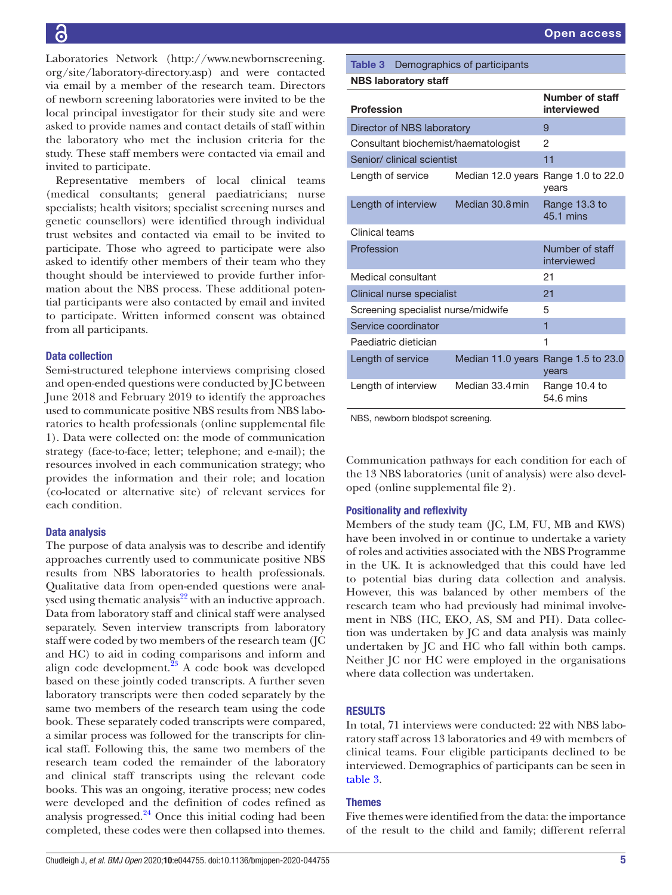Laboratories Network [\(http://www.newbornscreening.](http://www.newbornscreening.org/site/laboratory-directory.asp) [org/site/laboratory-directory.asp](http://www.newbornscreening.org/site/laboratory-directory.asp)) and were contacted via email by a member of the research team. Directors of newborn screening laboratories were invited to be the local principal investigator for their study site and were asked to provide names and contact details of staff within the laboratory who met the inclusion criteria for the study. These staff members were contacted via email and invited to participate.

Representative members of local clinical teams (medical consultants; general paediatricians; nurse specialists; health visitors; specialist screening nurses and genetic counsellors) were identified through individual trust websites and contacted via email to be invited to participate. Those who agreed to participate were also asked to identify other members of their team who they thought should be interviewed to provide further information about the NBS process. These additional potential participants were also contacted by email and invited to participate. Written informed consent was obtained from all participants.

#### Data collection

Semi-structured telephone interviews comprising closed and open-ended questions were conducted by JC between June 2018 and February 2019 to identify the approaches used to communicate positive NBS results from NBS laboratories to health professionals ([online supplemental file](https://dx.doi.org/10.1136/bmjopen-2020-044755) [1\)](https://dx.doi.org/10.1136/bmjopen-2020-044755). Data were collected on: the mode of communication strategy (face-to-face; letter; telephone; and e-mail); the resources involved in each communication strategy; who provides the information and their role; and location (co-located or alternative site) of relevant services for each condition.

#### Data analysis

The purpose of data analysis was to describe and identify approaches currently used to communicate positive NBS results from NBS laboratories to health professionals. Qualitative data from open-ended questions were analysed using thematic analysis $^{22}$  with an inductive approach. Data from laboratory staff and clinical staff were analysed separately. Seven interview transcripts from laboratory staff were coded by two members of the research team (JC and HC) to aid in coding comparisons and inform and align code development. $^{23}$  A code book was developed based on these jointly coded transcripts. A further seven laboratory transcripts were then coded separately by the same two members of the research team using the code book. These separately coded transcripts were compared, a similar process was followed for the transcripts for clinical staff. Following this, the same two members of the research team coded the remainder of the laboratory and clinical staff transcripts using the relevant code books. This was an ongoing, iterative process; new codes were developed and the definition of codes refined as analysis progressed. $^{24}$  Once this initial coding had been completed, these codes were then collapsed into themes.

## <span id="page-6-0"></span>Table 3 Demographics of participants NBS laboratory staff

| <b>Profession</b>                   |                                     | <b>Number of staff</b><br>interviewed |
|-------------------------------------|-------------------------------------|---------------------------------------|
| Director of NBS laboratory          |                                     | 9                                     |
| Consultant biochemist/haematologist |                                     | 2                                     |
| Senior/ clinical scientist          |                                     | 11                                    |
| Length of service                   | Median 12.0 years Range 1.0 to 22.0 | years                                 |
| Length of interview                 | Median 30.8 min                     | Range 13.3 to<br>45.1 mins            |
| Clinical teams                      |                                     |                                       |
| Profession                          |                                     | Number of staff<br>interviewed        |
| Medical consultant                  |                                     | 21                                    |
| Clinical nurse specialist           |                                     | 21                                    |
| Screening specialist nurse/midwife  |                                     | 5                                     |
| Service coordinator                 |                                     | 1                                     |
| Paediatric dietician                |                                     | 1                                     |
| Length of service                   | Median 11.0 years Range 1.5 to 23.0 | years                                 |
| Length of interview                 | Median 33.4 min                     | Range 10.4 to<br>54.6 mins            |

NBS, newborn blodspot screening.

Communication pathways for each condition for each of the 13 NBS laboratories (unit of analysis) were also developed [\(online supplemental file 2](https://dx.doi.org/10.1136/bmjopen-2020-044755)).

#### Positionality and reflexivity

Members of the study team (JC, LM, FU, MB and KWS) have been involved in or continue to undertake a variety of roles and activities associated with the NBS Programme in the UK. It is acknowledged that this could have led to potential bias during data collection and analysis. However, this was balanced by other members of the research team who had previously had minimal involvement in NBS (HC, EKO, AS, SM and PH). Data collection was undertaken by JC and data analysis was mainly undertaken by JC and HC who fall within both camps. Neither JC nor HC were employed in the organisations where data collection was undertaken.

#### **RESULTS**

In total, 71 interviews were conducted: 22 with NBS laboratory staff across 13 laboratories and 49 with members of clinical teams. Four eligible participants declined to be interviewed. Demographics of participants can be seen in [table](#page-6-0) 3.

#### Themes

Five themes were identified from the data: the importance of the result to the child and family; different referral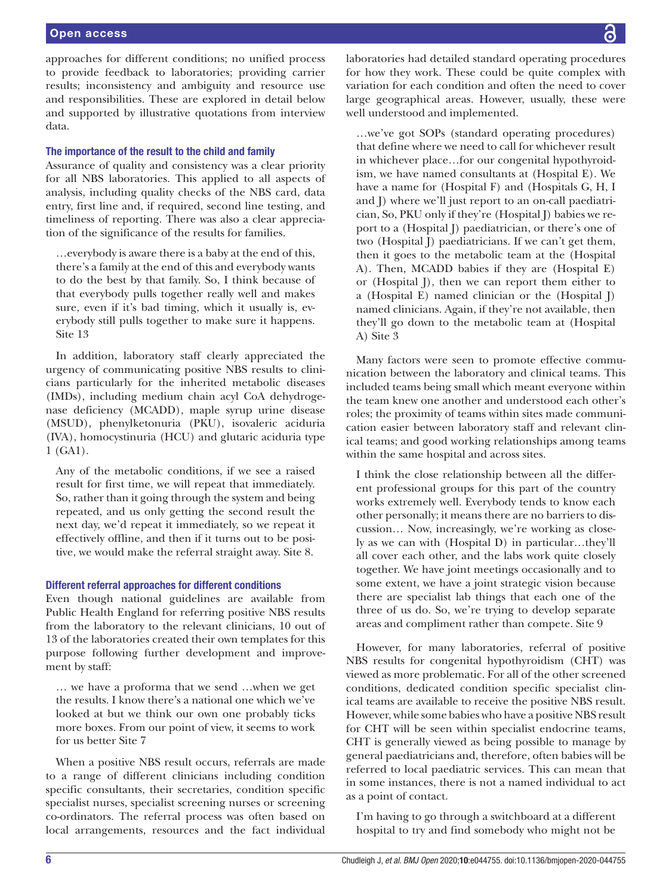approaches for different conditions; no unified process to provide feedback to laboratories; providing carrier results; inconsistency and ambiguity and resource use and responsibilities. These are explored in detail below and supported by illustrative quotations from interview data.

#### The importance of the result to the child and family

Assurance of quality and consistency was a clear priority for all NBS laboratories. This applied to all aspects of analysis, including quality checks of the NBS card, data entry, first line and, if required, second line testing, and timeliness of reporting. There was also a clear appreciation of the significance of the results for families.

…everybody is aware there is a baby at the end of this, there's a family at the end of this and everybody wants to do the best by that family. So, I think because of that everybody pulls together really well and makes sure, even if it's bad timing, which it usually is, everybody still pulls together to make sure it happens. Site 13

In addition, laboratory staff clearly appreciated the urgency of communicating positive NBS results to clinicians particularly for the inherited metabolic diseases (IMDs), including medium chain acyl CoA dehydrogenase deficiency (MCADD), maple syrup urine disease (MSUD), phenylketonuria (PKU), isovaleric aciduria (IVA), homocystinuria (HCU) and glutaric aciduria type 1 (GA1).

Any of the metabolic conditions, if we see a raised result for first time, we will repeat that immediately. So, rather than it going through the system and being repeated, and us only getting the second result the next day, we'd repeat it immediately, so we repeat it effectively offline, and then if it turns out to be positive, we would make the referral straight away. Site 8.

#### Different referral approaches for different conditions

Even though national guidelines are available from Public Health England for referring positive NBS results from the laboratory to the relevant clinicians, 10 out of 13 of the laboratories created their own templates for this purpose following further development and improvement by staff:

… we have a proforma that we send …when we get the results. I know there's a national one which we've looked at but we think our own one probably ticks more boxes. From our point of view, it seems to work for us better Site 7

When a positive NBS result occurs, referrals are made to a range of different clinicians including condition specific consultants, their secretaries, condition specific specialist nurses, specialist screening nurses or screening co-ordinators. The referral process was often based on local arrangements, resources and the fact individual laboratories had detailed standard operating procedures for how they work. These could be quite complex with variation for each condition and often the need to cover large geographical areas. However, usually, these were well understood and implemented.

…we've got SOPs (standard operating procedures) that define where we need to call for whichever result in whichever place…for our congenital hypothyroidism, we have named consultants at (Hospital E). We have a name for (Hospital F) and (Hospitals G, H, I and I) where we'll just report to an on-call paediatrician, So, PKU only if they're (Hospital J) babies we report to a (Hospital J) paediatrician, or there's one of two (Hospital J) paediatricians. If we can't get them, then it goes to the metabolic team at the (Hospital A). Then, MCADD babies if they are (Hospital E) or (Hospital J), then we can report them either to a (Hospital E) named clinician or the (Hospital J) named clinicians. Again, if they're not available, then they'll go down to the metabolic team at (Hospital A) Site 3

Many factors were seen to promote effective communication between the laboratory and clinical teams. This included teams being small which meant everyone within the team knew one another and understood each other's roles; the proximity of teams within sites made communication easier between laboratory staff and relevant clinical teams; and good working relationships among teams within the same hospital and across sites.

I think the close relationship between all the different professional groups for this part of the country works extremely well. Everybody tends to know each other personally; it means there are no barriers to discussion… Now, increasingly, we're working as closely as we can with (Hospital D) in particular…they'll all cover each other, and the labs work quite closely together. We have joint meetings occasionally and to some extent, we have a joint strategic vision because there are specialist lab things that each one of the three of us do. So, we're trying to develop separate areas and compliment rather than compete. Site 9

However, for many laboratories, referral of positive NBS results for congenital hypothyroidism (CHT) was viewed as more problematic. For all of the other screened conditions, dedicated condition specific specialist clinical teams are available to receive the positive NBS result. However, while some babies who have a positive NBS result for CHT will be seen within specialist endocrine teams, CHT is generally viewed as being possible to manage by general paediatricians and, therefore, often babies will be referred to local paediatric services. This can mean that in some instances, there is not a named individual to act as a point of contact.

I'm having to go through a switchboard at a different hospital to try and find somebody who might not be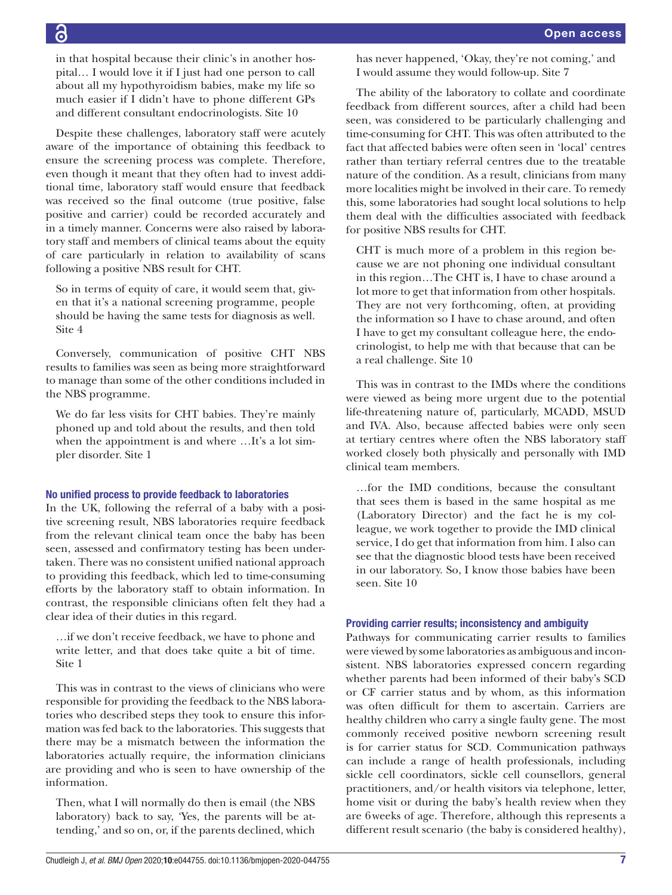6

in that hospital because their clinic's in another hospital… I would love it if I just had one person to call about all my hypothyroidism babies, make my life so much easier if I didn't have to phone different GPs and different consultant endocrinologists. Site 10

Despite these challenges, laboratory staff were acutely aware of the importance of obtaining this feedback to ensure the screening process was complete. Therefore, even though it meant that they often had to invest additional time, laboratory staff would ensure that feedback was received so the final outcome (true positive, false positive and carrier) could be recorded accurately and in a timely manner. Concerns were also raised by laboratory staff and members of clinical teams about the equity of care particularly in relation to availability of scans following a positive NBS result for CHT.

So in terms of equity of care, it would seem that, given that it's a national screening programme, people should be having the same tests for diagnosis as well. Site 4

Conversely, communication of positive CHT NBS results to families was seen as being more straightforward to manage than some of the other conditions included in the NBS programme.

We do far less visits for CHT babies. They're mainly phoned up and told about the results, and then told when the appointment is and where …It's a lot simpler disorder. Site 1

#### No unified process to provide feedback to laboratories

In the UK, following the referral of a baby with a positive screening result, NBS laboratories require feedback from the relevant clinical team once the baby has been seen, assessed and confirmatory testing has been undertaken. There was no consistent unified national approach to providing this feedback, which led to time-consuming efforts by the laboratory staff to obtain information. In contrast, the responsible clinicians often felt they had a clear idea of their duties in this regard.

…if we don't receive feedback, we have to phone and write letter, and that does take quite a bit of time. Site 1

This was in contrast to the views of clinicians who were responsible for providing the feedback to the NBS laboratories who described steps they took to ensure this information was fed back to the laboratories. This suggests that there may be a mismatch between the information the laboratories actually require, the information clinicians are providing and who is seen to have ownership of the information.

Then, what I will normally do then is email (the NBS laboratory) back to say, 'Yes, the parents will be attending,' and so on, or, if the parents declined, which has never happened, 'Okay, they're not coming,' and I would assume they would follow-up. Site 7

The ability of the laboratory to collate and coordinate feedback from different sources, after a child had been seen, was considered to be particularly challenging and time-consuming for CHT. This was often attributed to the fact that affected babies were often seen in 'local' centres rather than tertiary referral centres due to the treatable nature of the condition. As a result, clinicians from many more localities might be involved in their care. To remedy this, some laboratories had sought local solutions to help them deal with the difficulties associated with feedback for positive NBS results for CHT.

CHT is much more of a problem in this region because we are not phoning one individual consultant in this region…The CHT is, I have to chase around a lot more to get that information from other hospitals. They are not very forthcoming, often, at providing the information so I have to chase around, and often I have to get my consultant colleague here, the endocrinologist, to help me with that because that can be a real challenge. Site 10

This was in contrast to the IMDs where the conditions were viewed as being more urgent due to the potential life-threatening nature of, particularly, MCADD, MSUD and IVA. Also, because affected babies were only seen at tertiary centres where often the NBS laboratory staff worked closely both physically and personally with IMD clinical team members.

…for the IMD conditions, because the consultant that sees them is based in the same hospital as me (Laboratory Director) and the fact he is my colleague, we work together to provide the IMD clinical service, I do get that information from him. I also can see that the diagnostic blood tests have been received in our laboratory. So, I know those babies have been seen. Site 10

#### Providing carrier results; inconsistency and ambiguity

Pathways for communicating carrier results to families were viewed by some laboratories as ambiguous and inconsistent. NBS laboratories expressed concern regarding whether parents had been informed of their baby's SCD or CF carrier status and by whom, as this information was often difficult for them to ascertain. Carriers are healthy children who carry a single faulty gene. The most commonly received positive newborn screening result is for carrier status for SCD. Communication pathways can include a range of health professionals, including sickle cell coordinators, sickle cell counsellors, general practitioners, and/or health visitors via telephone, letter, home visit or during the baby's health review when they are 6weeks of age. Therefore, although this represents a different result scenario (the baby is considered healthy),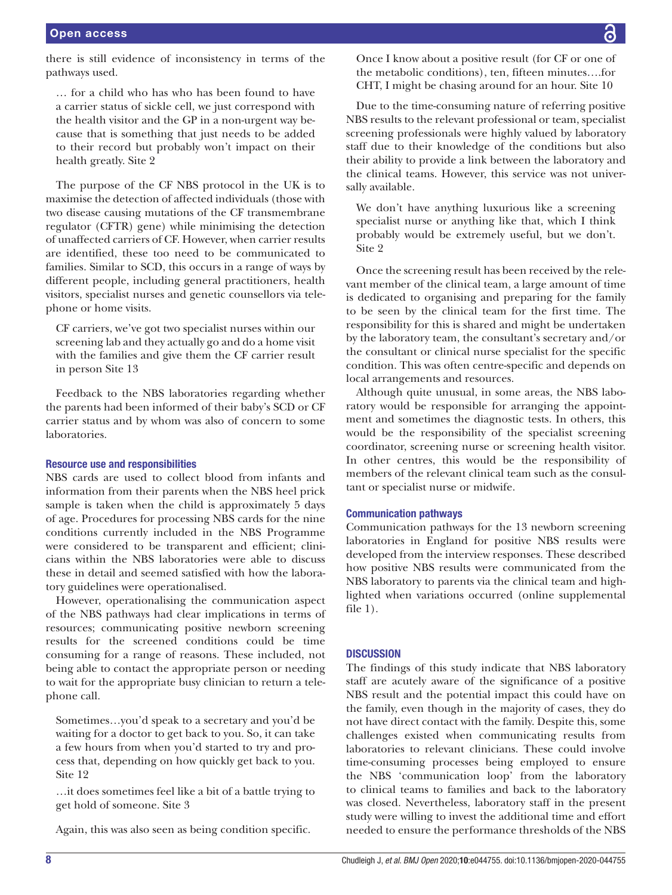there is still evidence of inconsistency in terms of the pathways used.

… for a child who has who has been found to have a carrier status of sickle cell, we just correspond with the health visitor and the GP in a non-urgent way because that is something that just needs to be added to their record but probably won't impact on their health greatly. Site 2

The purpose of the CF NBS protocol in the UK is to maximise the detection of affected individuals (those with two disease causing mutations of the CF transmembrane regulator (CFTR) gene) while minimising the detection of unaffected carriers of CF. However, when carrier results are identified, these too need to be communicated to families. Similar to SCD, this occurs in a range of ways by different people, including general practitioners, health visitors, specialist nurses and genetic counsellors via telephone or home visits.

CF carriers, we've got two specialist nurses within our screening lab and they actually go and do a home visit with the families and give them the CF carrier result in person Site 13

Feedback to the NBS laboratories regarding whether the parents had been informed of their baby's SCD or CF carrier status and by whom was also of concern to some laboratories.

#### Resource use and responsibilities

NBS cards are used to collect blood from infants and information from their parents when the NBS heel prick sample is taken when the child is approximately 5 days of age. Procedures for processing NBS cards for the nine conditions currently included in the NBS Programme were considered to be transparent and efficient; clinicians within the NBS laboratories were able to discuss these in detail and seemed satisfied with how the laboratory guidelines were operationalised.

However, operationalising the communication aspect of the NBS pathways had clear implications in terms of resources; communicating positive newborn screening results for the screened conditions could be time consuming for a range of reasons. These included, not being able to contact the appropriate person or needing to wait for the appropriate busy clinician to return a telephone call.

Sometimes…you'd speak to a secretary and you'd be waiting for a doctor to get back to you. So, it can take a few hours from when you'd started to try and process that, depending on how quickly get back to you. Site 12

…it does sometimes feel like a bit of a battle trying to get hold of someone. Site 3

Again, this was also seen as being condition specific.

Once I know about a positive result (for CF or one of the metabolic conditions), ten, fifteen minutes….for

Due to the time-consuming nature of referring positive NBS results to the relevant professional or team, specialist screening professionals were highly valued by laboratory staff due to their knowledge of the conditions but also their ability to provide a link between the laboratory and the clinical teams. However, this service was not universally available.

CHT, I might be chasing around for an hour. Site 10

We don't have anything luxurious like a screening specialist nurse or anything like that, which I think probably would be extremely useful, but we don't. Site 2

Once the screening result has been received by the relevant member of the clinical team, a large amount of time is dedicated to organising and preparing for the family to be seen by the clinical team for the first time. The responsibility for this is shared and might be undertaken by the laboratory team, the consultant's secretary and/or the consultant or clinical nurse specialist for the specific condition. This was often centre-specific and depends on local arrangements and resources.

Although quite unusual, in some areas, the NBS laboratory would be responsible for arranging the appointment and sometimes the diagnostic tests. In others, this would be the responsibility of the specialist screening coordinator, screening nurse or screening health visitor. In other centres, this would be the responsibility of members of the relevant clinical team such as the consultant or specialist nurse or midwife.

#### Communication pathways

Communication pathways for the 13 newborn screening laboratories in England for positive NBS results were developed from the interview responses. These described how positive NBS results were communicated from the NBS laboratory to parents via the clinical team and highlighted when variations occurred [\(online supplemental](https://dx.doi.org/10.1136/bmjopen-2020-044755)  [file 1](https://dx.doi.org/10.1136/bmjopen-2020-044755)).

### **DISCUSSION**

The findings of this study indicate that NBS laboratory staff are acutely aware of the significance of a positive NBS result and the potential impact this could have on the family, even though in the majority of cases, they do not have direct contact with the family. Despite this, some challenges existed when communicating results from laboratories to relevant clinicians. These could involve time-consuming processes being employed to ensure the NBS 'communication loop' from the laboratory to clinical teams to families and back to the laboratory was closed. Nevertheless, laboratory staff in the present study were willing to invest the additional time and effort needed to ensure the performance thresholds of the NBS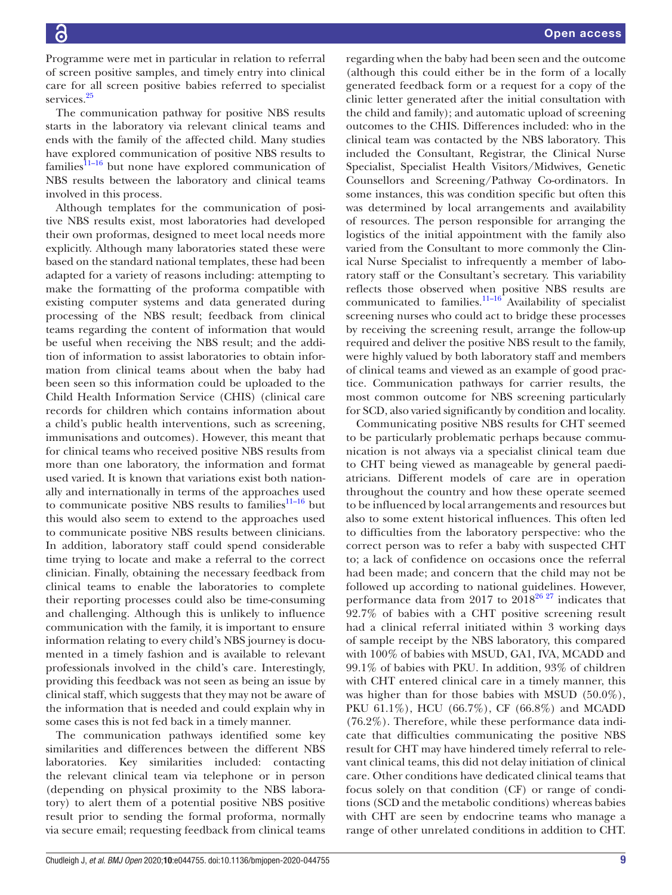Programme were met in particular in relation to referral of screen positive samples, and timely entry into clinical care for all screen positive babies referred to specialist services.<sup>25</sup>

The communication pathway for positive NBS results starts in the laboratory via relevant clinical teams and ends with the family of the affected child. Many studies have explored communication of positive NBS results to families $11-16$  but none have explored communication of NBS results between the laboratory and clinical teams involved in this process.

Although templates for the communication of positive NBS results exist, most laboratories had developed their own proformas, designed to meet local needs more explicitly. Although many laboratories stated these were based on the standard national templates, these had been adapted for a variety of reasons including: attempting to make the formatting of the proforma compatible with existing computer systems and data generated during processing of the NBS result; feedback from clinical teams regarding the content of information that would be useful when receiving the NBS result; and the addition of information to assist laboratories to obtain information from clinical teams about when the baby had been seen so this information could be uploaded to the Child Health Information Service (CHIS) (clinical care records for children which contains information about a child's public health interventions, such as screening, immunisations and outcomes). However, this meant that for clinical teams who received positive NBS results from more than one laboratory, the information and format used varied. It is known that variations exist both nationally and internationally in terms of the approaches used to communicate positive NBS results to families $11-16$  but this would also seem to extend to the approaches used to communicate positive NBS results between clinicians. In addition, laboratory staff could spend considerable time trying to locate and make a referral to the correct clinician. Finally, obtaining the necessary feedback from clinical teams to enable the laboratories to complete their reporting processes could also be time-consuming and challenging. Although this is unlikely to influence communication with the family, it is important to ensure information relating to every child's NBS journey is documented in a timely fashion and is available to relevant professionals involved in the child's care. Interestingly, providing this feedback was not seen as being an issue by clinical staff, which suggests that they may not be aware of the information that is needed and could explain why in some cases this is not fed back in a timely manner.

The communication pathways identified some key similarities and differences between the different NBS laboratories. Key similarities included: contacting the relevant clinical team via telephone or in person (depending on physical proximity to the NBS laboratory) to alert them of a potential positive NBS positive result prior to sending the formal proforma, normally via secure email; requesting feedback from clinical teams

regarding when the baby had been seen and the outcome (although this could either be in the form of a locally generated feedback form or a request for a copy of the clinic letter generated after the initial consultation with the child and family); and automatic upload of screening outcomes to the CHIS. Differences included: who in the clinical team was contacted by the NBS laboratory. This included the Consultant, Registrar, the Clinical Nurse Specialist, Specialist Health Visitors/Midwives, Genetic Counsellors and Screening/Pathway Co-ordinators. In some instances, this was condition specific but often this was determined by local arrangements and availability of resources. The person responsible for arranging the logistics of the initial appointment with the family also varied from the Consultant to more commonly the Clinical Nurse Specialist to infrequently a member of laboratory staff or the Consultant's secretary. This variability reflects those observed when positive NBS results are communicated to families.<sup>11–16</sup> Availability of specialist screening nurses who could act to bridge these processes by receiving the screening result, arrange the follow-up required and deliver the positive NBS result to the family, were highly valued by both laboratory staff and members of clinical teams and viewed as an example of good practice. Communication pathways for carrier results, the most common outcome for NBS screening particularly for SCD, also varied significantly by condition and locality.

Communicating positive NBS results for CHT seemed to be particularly problematic perhaps because communication is not always via a specialist clinical team due to CHT being viewed as manageable by general paediatricians. Different models of care are in operation throughout the country and how these operate seemed to be influenced by local arrangements and resources but also to some extent historical influences. This often led to difficulties from the laboratory perspective: who the correct person was to refer a baby with suspected CHT to; a lack of confidence on occasions once the referral had been made; and concern that the child may not be followed up according to national guidelines. However, performance data from 2017 to  $2018^{26}$  <sup>27</sup> indicates that 92.7% of babies with a CHT positive screening result had a clinical referral initiated within 3 working days of sample receipt by the NBS laboratory, this compared with 100% of babies with MSUD, GA1, IVA, MCADD and 99.1% of babies with PKU. In addition, 93% of children with CHT entered clinical care in a timely manner, this was higher than for those babies with MSUD (50.0%), PKU 61.1%), HCU (66.7%), CF (66.8%) and MCADD (76.2%). Therefore, while these performance data indicate that difficulties communicating the positive NBS result for CHT may have hindered timely referral to relevant clinical teams, this did not delay initiation of clinical care. Other conditions have dedicated clinical teams that focus solely on that condition (CF) or range of conditions (SCD and the metabolic conditions) whereas babies with CHT are seen by endocrine teams who manage a range of other unrelated conditions in addition to CHT.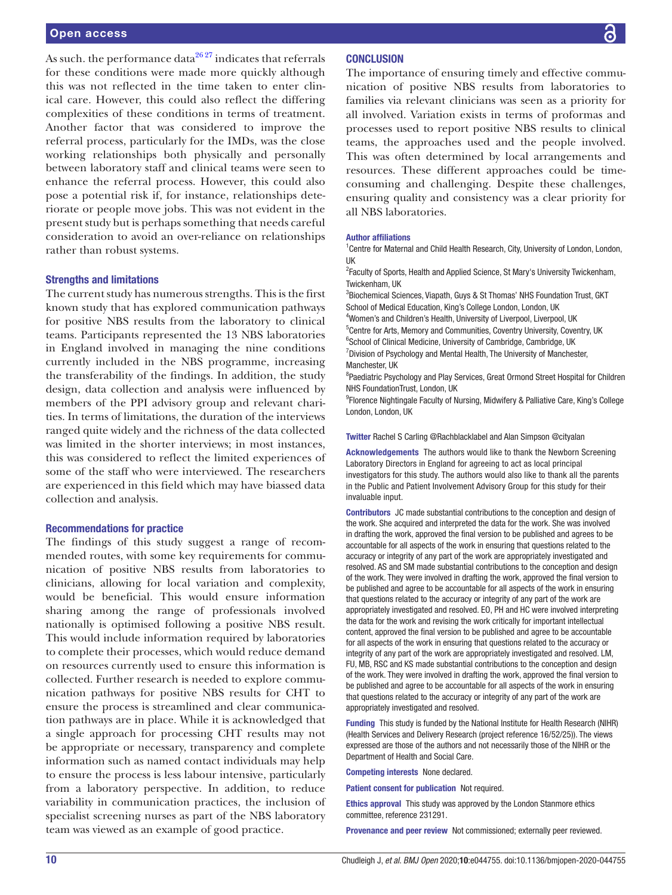#### Open access

As such, the performance data<sup>26,27</sup> indicates that referrals for these conditions were made more quickly although this was not reflected in the time taken to enter clinical care. However, this could also reflect the differing complexities of these conditions in terms of treatment. Another factor that was considered to improve the referral process, particularly for the IMDs, was the close working relationships both physically and personally between laboratory staff and clinical teams were seen to enhance the referral process. However, this could also pose a potential risk if, for instance, relationships deteriorate or people move jobs. This was not evident in the present study but is perhaps something that needs careful consideration to avoid an over-reliance on relationships rather than robust systems.

#### Strengths and limitations

The current study has numerous strengths. This is the first known study that has explored communication pathways for positive NBS results from the laboratory to clinical teams. Participants represented the 13 NBS laboratories in England involved in managing the nine conditions currently included in the NBS programme, increasing the transferability of the findings. In addition, the study design, data collection and analysis were influenced by members of the PPI advisory group and relevant charities. In terms of limitations, the duration of the interviews ranged quite widely and the richness of the data collected was limited in the shorter interviews; in most instances, this was considered to reflect the limited experiences of some of the staff who were interviewed. The researchers are experienced in this field which may have biassed data collection and analysis.

#### Recommendations for practice

The findings of this study suggest a range of recommended routes, with some key requirements for communication of positive NBS results from laboratories to clinicians, allowing for local variation and complexity, would be beneficial. This would ensure information sharing among the range of professionals involved nationally is optimised following a positive NBS result. This would include information required by laboratories to complete their processes, which would reduce demand on resources currently used to ensure this information is collected. Further research is needed to explore communication pathways for positive NBS results for CHT to ensure the process is streamlined and clear communication pathways are in place. While it is acknowledged that a single approach for processing CHT results may not be appropriate or necessary, transparency and complete information such as named contact individuals may help to ensure the process is less labour intensive, particularly from a laboratory perspective. In addition, to reduce variability in communication practices, the inclusion of specialist screening nurses as part of the NBS laboratory team was viewed as an example of good practice.

#### **CONCLUSION**

The importance of ensuring timely and effective communication of positive NBS results from laboratories to families via relevant clinicians was seen as a priority for all involved. Variation exists in terms of proformas and processes used to report positive NBS results to clinical teams, the approaches used and the people involved. This was often determined by local arrangements and resources. These different approaches could be timeconsuming and challenging. Despite these challenges, ensuring quality and consistency was a clear priority for all NBS laboratories.

#### Author affiliations

<sup>1</sup> Centre for Maternal and Child Health Research, City, University of London, London, UK

<sup>2</sup> Faculty of Sports, Health and Applied Science, St Mary's University Twickenham, Twickenham, UK

<sup>3</sup>Biochemical Sciences, Viapath, Guys & St Thomas' NHS Foundation Trust, GKT School of Medical Education, King's College London, London, UK

<sup>4</sup>Women's and Children's Health, University of Liverpool, Liverpool, UK <sup>5</sup>Centre for Arts, Memory and Communities, Coventry University, Coventry, UK <sup>6</sup>School of Clinical Medicine, University of Cambridge, Cambridge, UK

<sup>7</sup> Division of Psychology and Mental Health, The University of Manchester, Manchester, UK

<sup>8</sup>Paediatric Psychology and Play Services, Great Ormond Street Hospital for Children NHS FoundationTrust, London, UK

<sup>9</sup>Florence Nightingale Faculty of Nursing, Midwifery & Palliative Care, King's College London, London, UK

Twitter Rachel S Carling [@Rachblacklabel](https://twitter.com/Rachblacklabel) and Alan Simpson [@cityalan](https://twitter.com/cityalan)

Acknowledgements The authors would like to thank the Newborn Screening Laboratory Directors in England for agreeing to act as local principal investigators for this study. The authors would also like to thank all the parents in the Public and Patient Involvement Advisory Group for this study for their invaluable input.

Contributors JC made substantial contributions to the conception and design of the work. She acquired and interpreted the data for the work. She was involved in drafting the work, approved the final version to be published and agrees to be accountable for all aspects of the work in ensuring that questions related to the accuracy or integrity of any part of the work are appropriately investigated and resolved. AS and SM made substantial contributions to the conception and design of the work. They were involved in drafting the work, approved the final version to be published and agree to be accountable for all aspects of the work in ensuring that questions related to the accuracy or integrity of any part of the work are appropriately investigated and resolved. EO, PH and HC were involved interpreting the data for the work and revising the work critically for important intellectual content, approved the final version to be published and agree to be accountable for all aspects of the work in ensuring that questions related to the accuracy or integrity of any part of the work are appropriately investigated and resolved. LM, FU, MB, RSC and KS made substantial contributions to the conception and design of the work. They were involved in drafting the work, approved the final version to be published and agree to be accountable for all aspects of the work in ensuring that questions related to the accuracy or integrity of any part of the work are appropriately investigated and resolved.

Funding This study is funded by the National Institute for Health Research (NIHR) (Health Services and Delivery Research (project reference 16/52/25)). The views expressed are those of the authors and not necessarily those of the NIHR or the Department of Health and Social Care.

Competing interests None declared.

Patient consent for publication Not required.

Ethics approval This study was approved by the London Stanmore ethics committee, reference 231291.

Provenance and peer review Not commissioned; externally peer reviewed.